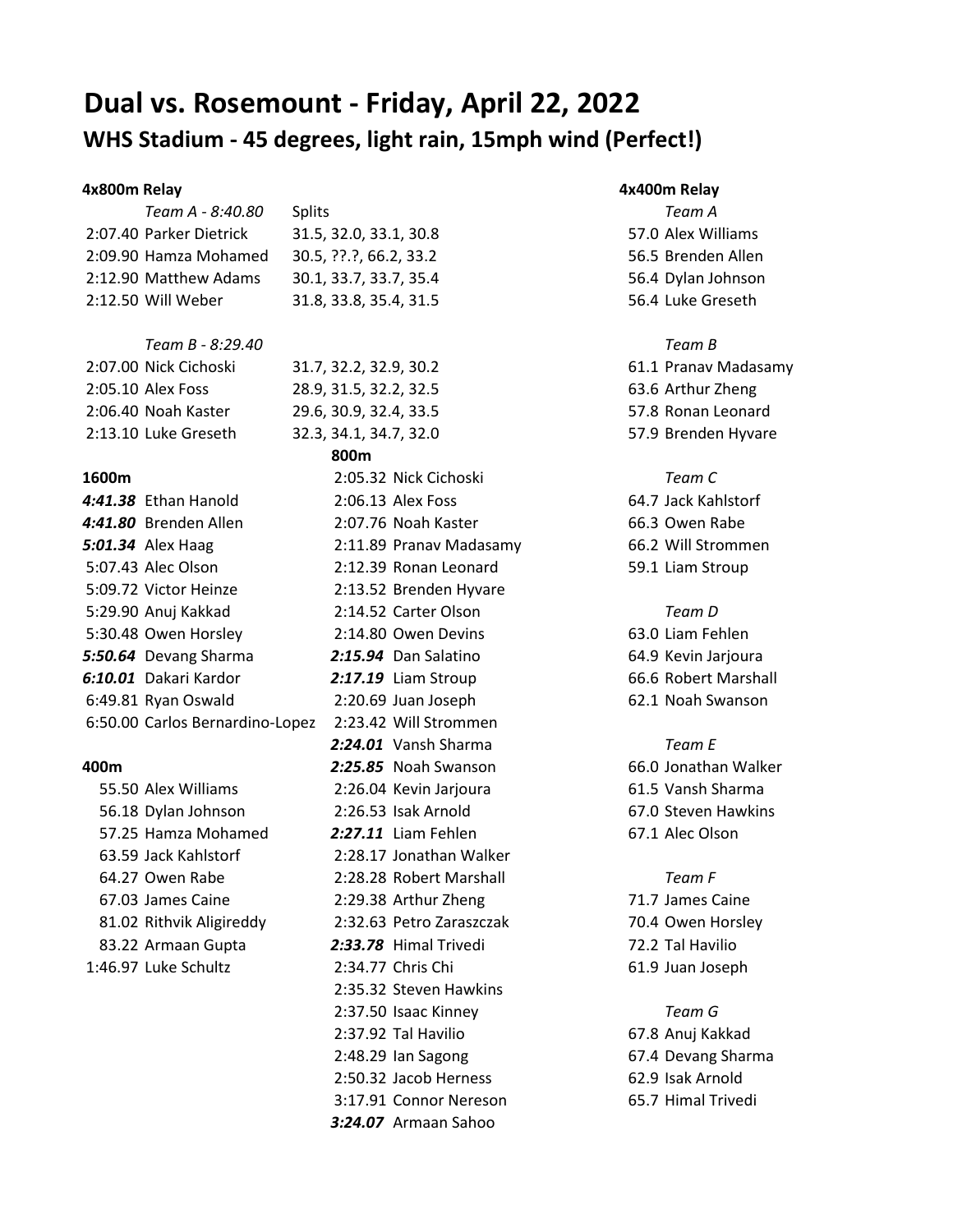# **Dual vs. Rosemount - Friday, April 22, 2022 WHS Stadium - 45 degrees, light rain, 15mph wind (Perfect!)**

2:07.40 Parker Dietrick 31.5, 32.0, 33.1, 30.8 57.0 Alex Williams 2:09.90 Hamza Mohamed 30.5, ??.?, 66.2, 33.2 56.5 Brenden Allen 2:12.90 Matthew Adams 30.1, 33.7, 33.7, 35.4 56.4 Dylan Johnson 2:12.50 Will Weber 31.8, 33.8, 35.4, 31.5 56.4 Luke Greseth

# *Team B - 8:29.40 Team B*

*4:41.38* Ethan Hanold 2:06.13 Alex Foss 64.7 Jack Kahlstorf **4:41.80** Brenden Allen 2:07.76 Noah Kaster 66.3 Owen Rabe *5:01.34* Alex Haag 2:11.89 Pranav Madasamy 66.2 Will Strommen 5:07.43 Alec Olson 2:12.39 Ronan Leonard 59.1 Liam Stroup 5:09.72 Victor Heinze 2:13.52 Brenden Hyvare 5:29.90 Anuj Kakkad 2:14.52 Carter Olson *Team D* 5:30.48 Owen Horsley 2:14.80 Owen Devins 63.0 Liam Fehlen *5:50.64* Devang Sharma *2:15.94* Dan Salatino 64.9 Kevin Jarjoura *6:10.01* Dakari Kardor *2:17.19* Liam Stroup 66.6 Robert Marshall 6:49.81 Ryan Oswald 2:20.69 Juan Joseph 62.1 Noah Swanson 6:50.00 Carlos Bernardino-Lopez 2:23.42 Will Strommen

56.18 Dylan Johnson 2:26.53 Isak Arnold 67.0 Steven Hawkins 57.25 Hamza Mohamed *2:27.11* Liam Fehlen 67.1 Alec Olson 63.59 Jack Kahlstorf 2:28.17 Jonathan Walker 64.27 Owen Rabe 2:28.28 Robert Marshall *Team F* 67.03 James Caine 2:29.38 Arthur Zheng 71.7 James Caine 81.02 Rithvik Aligireddy 2:32.63 Petro Zaraszczak 70.4 Owen Horsley 83.22 Armaan Gupta *2:33.78* Himal Trivedi 72.2 Tal Havilio 1:46.97 Luke Schultz 2:34.77 Chris Chi 61.9 Juan Joseph

# *Team A - 8:40.80* Splits *Team A*

2:07.00 Nick Cichoski 31.7, 32.2, 32.9, 30.2 61.1 Pranav Madasamy 2:05.10 Alex Foss 28.9, 31.5, 32.2, 32.5 63.6 Arthur Zheng 2:06.40 Noah Kaster 29.6, 30.9, 32.4, 33.5 57.8 Ronan Leonard 2:13.10 Luke Greseth 32.3, 34.1, 34.7, 32.0 57.9 Brenden Hyvare **800m 1600m** 2:05.32 Nick Cichoski *Team C 2:24.01* Vansh Sharma *Team E* **400m** *2:25.85* Noah Swanson 66.0 Jonathan Walker 55.50 Alex Williams 2:26.04 Kevin Jarjoura 61.5 Vansh Sharma 2:35.32 Steven Hawkins 2:37.50 Isaac Kinney *Team G* 2:37.92 Tal Havilio 67.8 Anuj Kakkad 2:48.29 Ian Sagong 67.4 Devang Sharma 2:50.32 Jacob Herness 62.9 Isak Arnold 3:17.91 Connor Nereson 65.7 Himal Trivedi *3:24.07* Armaan Sahoo

## **4x800m Relay 4x400m Relay**